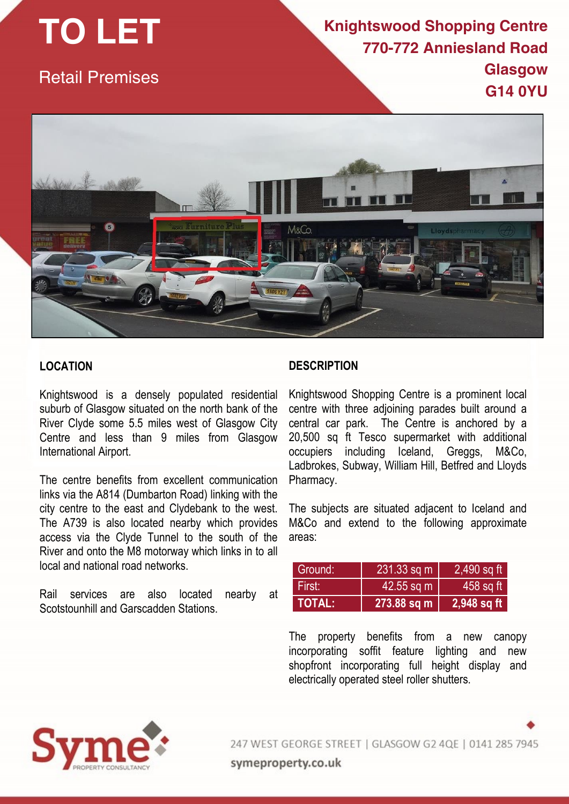# **TO LET**

Retail Premises

## **Knightswood Shopping Centre 770-772 Anniesland Road Glasgow G14 0YU**



## **LOCATION**

Knightswood is a densely populated residential suburb of Glasgow situated on the north bank of the River Clyde some 5.5 miles west of Glasgow City Centre and less than 9 miles from Glasgow International Airport.

The centre benefits from excellent communication links via the A814 (Dumbarton Road) linking with the city centre to the east and Clydebank to the west. The A739 is also located nearby which provides access via the Clyde Tunnel to the south of the River and onto the M8 motorway which links in to all local and national road networks.

Rail services are also located nearby at Scotstounhill and Garscadden Stations.

### **DESCRIPTION**

Knightswood Shopping Centre is a prominent local centre with three adjoining parades built around a central car park. The Centre is anchored by a 20,500 sq ft Tesco supermarket with additional occupiers including Iceland, Greggs, M&Co, Ladbrokes, Subway, William Hill, Betfred and Lloyds Pharmacy.

The subjects are situated adjacent to Iceland and M&Co and extend to the following approximate areas:

| Ground:       | $231.33$ sq m | 2,490 sq ft |
|---------------|---------------|-------------|
| First:        | $42.55$ sq m  | 458 sq ft   |
| <b>TOTAL:</b> | 273.88 sq m   | 2,948 sq ft |

The property benefits from a new canopy incorporating soffit feature lighting and new shopfront incorporating full height display and electrically operated steel roller shutters.



247 WEST GEORGE STREET | GLASGOW G2 4QE | 0141 285 7945

symeproperty.co.uk